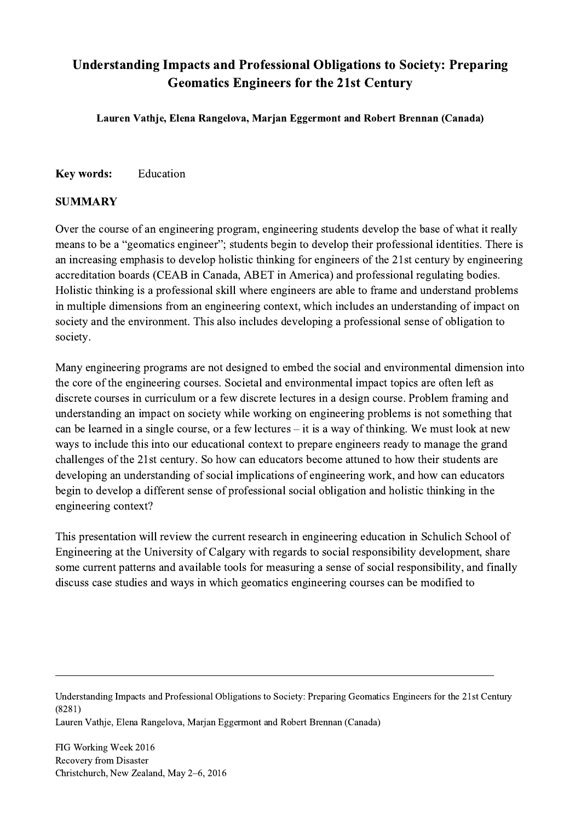## Understanding Impacts and Professional Obligations to Society: Preparing Geomatics Engineers for the 21st Century

Lauren Vathje, Elena Rangelova, Marjan Eggermont and Robert Brennan (Canada)

## Key words: Education

## SUMMARY

Over the course of an engineering program, engineering students develop the base of what it really means to be a "geomatics engineer"; students begin to develop their professional identities. There is an increasing emphasis to develop holistic thinking for engineers of the 21st century by engineering accreditation boards (CEAB in Canada, ABET in America) and professional regulating bodies. Holistic thinking is a professional skill where engineers are able to frame and understand problems in multiple dimensions from an engineering context, which includes an understanding of impact on society and the environment. This also includes developing a professional sense of obligation to society.

Many engineering programs are not designed to embed the social and environmental dimension into the core of the engineering courses. Societal and environmental impact topics are often left as discrete courses in curriculum or a few discrete lectures in a design course. Problem framing and understanding an impact on society while working on engineering problems is not something that can be learned in a single course, or a few lectures – it is a way of thinking. We must look at new ways to include this into our educational context to prepare engineers ready to manage the grand challenges of the 21st century. So how can educators become attuned to how their students are developing an understanding of social implications of engineering work, and how can educators begin to develop a different sense of professional social obligation and holistic thinking in the engineering context?

This presentation will review the current research in engineering education in Schulich School of Engineering at the University of Calgary with regards to social responsibility development, share some current patterns and available tools for measuring a sense of social responsibility, and finally discuss case studies and ways in which geomatics engineering courses can be modified to

Understanding Impacts and Professional Obligations to Society: Preparing Geomatics Engineers for the 21st Century (8281)

 $\mathcal{L}_\mathcal{L} = \{ \mathcal{L}_\mathcal{L} = \{ \mathcal{L}_\mathcal{L} = \{ \mathcal{L}_\mathcal{L} = \{ \mathcal{L}_\mathcal{L} = \{ \mathcal{L}_\mathcal{L} = \{ \mathcal{L}_\mathcal{L} = \{ \mathcal{L}_\mathcal{L} = \{ \mathcal{L}_\mathcal{L} = \{ \mathcal{L}_\mathcal{L} = \{ \mathcal{L}_\mathcal{L} = \{ \mathcal{L}_\mathcal{L} = \{ \mathcal{L}_\mathcal{L} = \{ \mathcal{L}_\mathcal{L} = \{ \mathcal{L}_\mathcal{$ 

Lauren Vathje, Elena Rangelova, Marjan Eggermont and Robert Brennan (Canada)

FIG Working Week 2016 Recovery from Disaster Christchurch, New Zealand, May 2–6, 2016